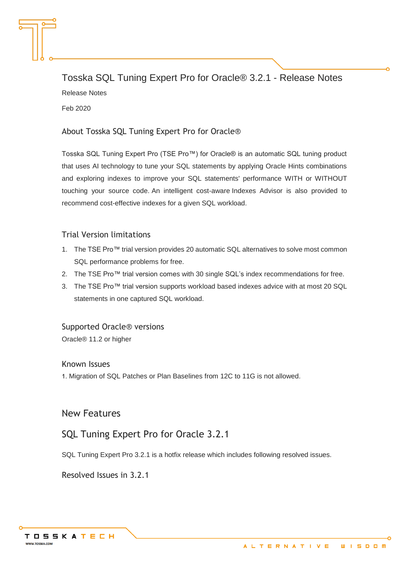Tosska SQL Tuning Expert Pro for Oracle® 3.2.1 - Release Notes Release Notes Feb 2020

#### About Tosska SQL Tuning Expert Pro for Oracle®

Tosska SQL Tuning Expert Pro (TSE Pro™) for Oracle® is an automatic SQL tuning product that uses AI technology to tune your SQL statements by applying Oracle Hints combinations and exploring indexes to improve your SQL statements' performance WITH or WITHOUT touching your source code. An intelligent cost-aware Indexes Advisor is also provided to recommend cost-effective indexes for a given SQL workload.

#### Trial Version limitations

- 1. The TSE Pro™ trial version provides 20 automatic SQL alternatives to solve most common SQL performance problems for free.
- 2. The TSE Pro™ trial version comes with 30 single SQL's index recommendations for free.
- 3. The TSE Pro™ trial version supports workload based indexes advice with at most 20 SQL statements in one captured SQL workload.

Supported Oracle® versions Oracle® 11.2 or higher

#### Known Issues

1. Migration of SQL Patches or Plan Baselines from 12C to 11G is not allowed.

New Features

# SQL Tuning Expert Pro for Oracle 3.2.1

SQL Tuning Expert Pro 3.2.1 is a hotfix release which includes following resolved issues.

Resolved Issues in 3.2.1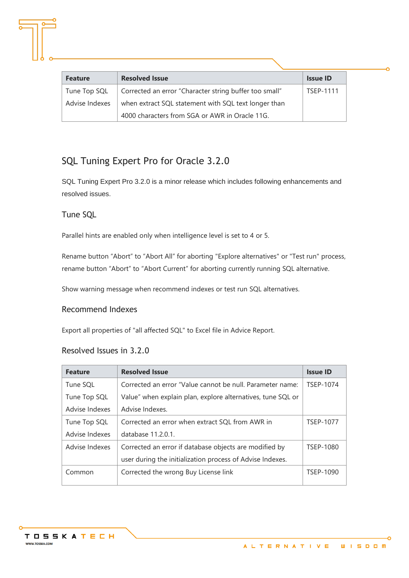| <b>Feature</b> | <b>Resolved Issue</b>                                  | <b>Issue ID</b>  |
|----------------|--------------------------------------------------------|------------------|
| Tune Top SQL   | Corrected an error "Character string buffer too small" | <b>TSEP-1111</b> |
| Advise Indexes | when extract SQL statement with SQL text longer than   |                  |
|                | 4000 characters from SGA or AWR in Oracle 11G.         |                  |

# SQL Tuning Expert Pro for Oracle 3.2.0

SQL Tuning Expert Pro 3.2.0 is a minor release which includes following enhancements and resolved issues.

### Tune SQL

Parallel hints are enabled only when intelligence level is set to 4 or 5.

Rename button "Abort" to "Abort All" for aborting "Explore alternatives" or "Test run" process, rename button "Abort" to "Abort Current" for aborting currently running SQL alternative.

Show warning message when recommend indexes or test run SQL alternatives.

### Recommend Indexes

Export all properties of "all affected SQL" to Excel file in Advice Report.

## Resolved Issues in 3.2.0

| <b>Feature</b> | <b>Resolved Issue</b>                                       | <b>Issue ID</b>  |
|----------------|-------------------------------------------------------------|------------------|
| Tune SQL       | Corrected an error "Value cannot be null. Parameter name:   | <b>TSEP-1074</b> |
| Tune Top SQL   | Value" when explain plan, explore alternatives, tune SQL or |                  |
| Advise Indexes | Advise Indexes.                                             |                  |
| Tune Top SQL   | Corrected an error when extract SQL from AWR in             | <b>TSEP-1077</b> |
| Advise Indexes | database 11.2.0.1.                                          |                  |
| Advise Indexes | Corrected an error if database objects are modified by      | TSEP-1080        |
|                | user during the initialization process of Advise Indexes.   |                  |
| Common         | Corrected the wrong Buy License link                        | TSEP-1090        |
|                |                                                             |                  |



Ó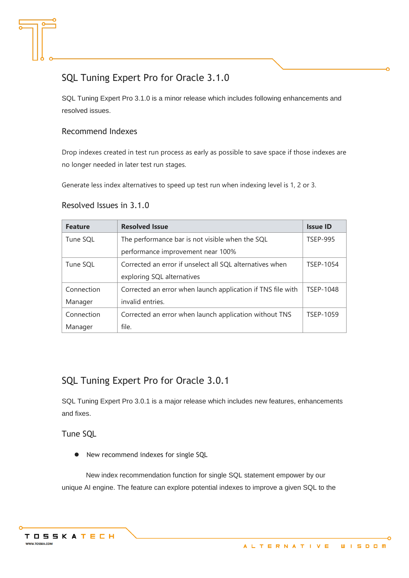# SQL Tuning Expert Pro for Oracle 3.1.0

SQL Tuning Expert Pro 3.1.0 is a minor release which includes following enhancements and resolved issues.

### Recommend Indexes

Drop indexes created in test run process as early as possible to save space if those indexes are no longer needed in later test run stages.

Generate less index alternatives to speed up test run when indexing level is 1, 2 or 3.

#### Resolved Issues in 3.1.0

| <b>Feature</b> | <b>Resolved Issue</b>                                       | <b>Issue ID</b>  |
|----------------|-------------------------------------------------------------|------------------|
| Tune SQL       | The performance bar is not visible when the SQL             | <b>TSEP-995</b>  |
|                | performance improvement near 100%                           |                  |
| Tune SQL       | Corrected an error if unselect all SQL alternatives when    | TSEP-1054        |
|                | exploring SQL alternatives                                  |                  |
| Connection     | Corrected an error when launch application if TNS file with | <b>TSEP-1048</b> |
| Manager        | invalid entries.                                            |                  |
| Connection     | Corrected an error when launch application without TNS      | TSEP-1059        |
| Manager        | file.                                                       |                  |

# SQL Tuning Expert Pro for Oracle 3.0.1

SQL Tuning Expert Pro 3.0.1 is a major release which includes new features, enhancements and fixes.

Tune SQL

● New recommend indexes for single SQL

 New index recommendation function for single SQL statement empower by our unique AI engine. The feature can explore potential indexes to improve a given SQL to the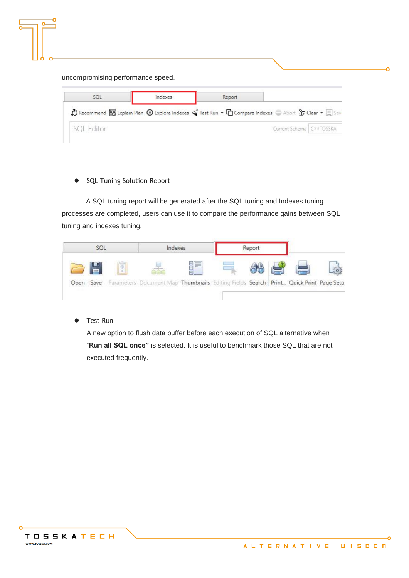| SOL | Indexes                                                                                                                                                                     | Report |  |
|-----|-----------------------------------------------------------------------------------------------------------------------------------------------------------------------------|--------|--|
|     |                                                                                                                                                                             |        |  |
|     | Becommend <b>to</b> Explain Plan $\bigcirc$ Explore Indexes $\bigcirc$ Test Run $\cdot$ $\bigcirc$ Compare Indexes $\bigcirc$ Abort $\bigcirc$ Clear $\cdot$ $\bigcirc$ Sav |        |  |

⚫ SQL Tuning Solution Report

 A SQL tuning report will be generated after the SQL tuning and Indexes tuning processes are completed, users can use it to compare the performance gains between SQL tuning and indexes tuning.

|  | Report |        | Indexes                                                                              | SQL        |           |
|--|--------|--------|--------------------------------------------------------------------------------------|------------|-----------|
|  |        | ħ<br>ă |                                                                                      | <b>COL</b> |           |
|  |        |        | Parameters Document Map Thumbnails Editing Fields Search Print Quick Print Page Setu |            | Open Save |

⚫ Test Run

A new option to flush data buffer before each execution of SQL alternative when "**Run all SQL once"** is selected. It is useful to benchmark those SQL that are not executed frequently.

۰Ó

ö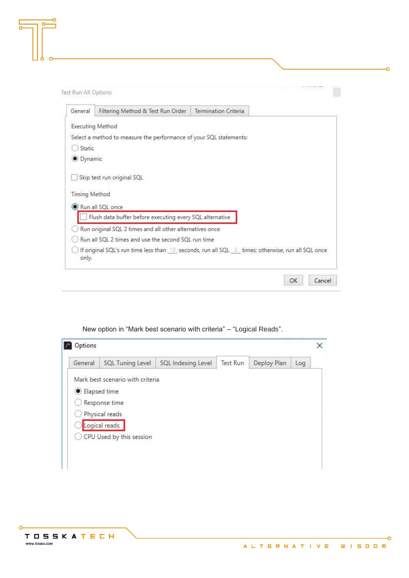**Test Run All Options** 

| General              | Filtering Method & Test Run Order                                  | Termination Criteria                                                                              |
|----------------------|--------------------------------------------------------------------|---------------------------------------------------------------------------------------------------|
|                      | <b>Executing Method</b>                                            |                                                                                                   |
|                      | Select a method to measure the performance of your SQL statements: |                                                                                                   |
| Static               |                                                                    |                                                                                                   |
| · Dynamic            |                                                                    |                                                                                                   |
|                      | Skip test run original SQL                                         |                                                                                                   |
| <b>Timing Method</b> |                                                                    |                                                                                                   |
|                      | Run all SQL once                                                   |                                                                                                   |
|                      | Flush data buffer before executing every SQL alternative           |                                                                                                   |
|                      | Run original SQL 2 times and all other alternatives once           |                                                                                                   |
|                      | Run all SOL 2 times and use the second SOL run time                |                                                                                                   |
| only.                |                                                                    | If original SQL's run time less than 10 seconds, run all SQL 2 times; otherwise, run all SQL once |
|                      |                                                                    | OK<br>Cancel                                                                                      |

| General      | SQL Tuning Level                 | SQL Indexing Level | Test Run | Deploy Plan | Log |
|--------------|----------------------------------|--------------------|----------|-------------|-----|
|              | Mark best scenario with criteria |                    |          |             |     |
| Elapsed time |                                  |                    |          |             |     |
|              | Response time                    |                    |          |             |     |
|              | Physical reads                   |                    |          |             |     |
|              | Logical reads                    |                    |          |             |     |
|              | CPU Used by this session         |                    |          |             |     |

New option in "Mark best scenario with criteria" – "Logical Reads".

-o

-O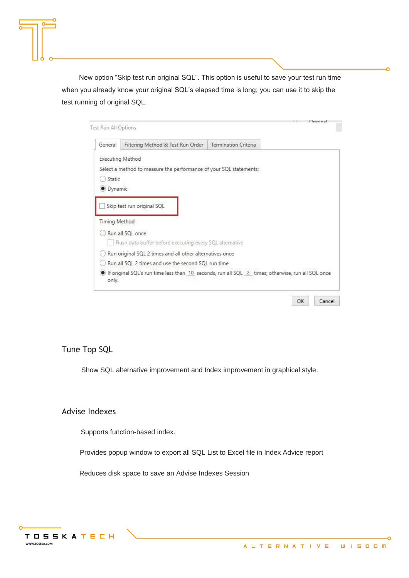New option "Skip test run original SQL". This option is useful to save your test run time when you already know your original SQL's elapsed time is long; you can use it to skip the test running of original SQL.

| Test Run All Options                           |                                                                                                   |                      | $i$ investment |
|------------------------------------------------|---------------------------------------------------------------------------------------------------|----------------------|----------------|
| General                                        | Filtering Method & Test Run Order                                                                 | Termination Criteria |                |
| <b>Executing Method</b><br>Static<br>· Dynamic | Select a method to measure the performance of your SQL statements:                                |                      |                |
| <b>Timing Method</b>                           | Skip test run original SQL                                                                        |                      |                |
|                                                | Run all SQL once<br>Flush data buffer before executing every SQL alternative                      |                      |                |
|                                                | Run original SQL 2 times and all other alternatives once                                          |                      |                |
|                                                | Run all SOL 2 times and use the second SOL run time                                               |                      |                |
| only.                                          | If original SQL's run time less than 10 seconds, run all SQL 2 times; otherwise, run all SQL once |                      |                |

Tune Top SQL

Show SQL alternative improvement and Index improvement in graphical style.

### Advise Indexes

Supports function-based index.

Provides popup window to export all SQL List to Excel file in Index Advice report

Reduces disk space to save an Advise Indexes Session

ö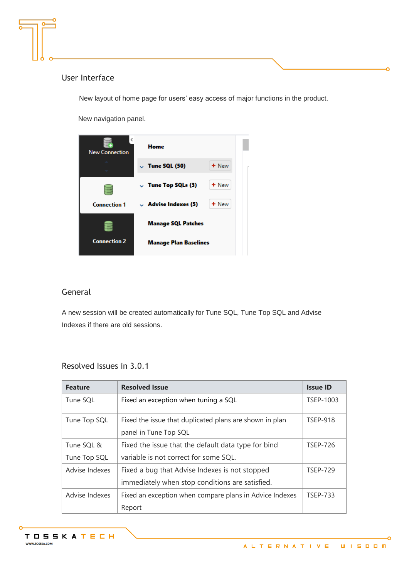

New layout of home page for users' easy access of major functions in the product.

New navigation panel.



### General

A new session will be created automatically for Tune SQL, Tune Top SQL and Advise Indexes if there are old sessions.

### Resolved Issues in 3.0.1

| <b>Feature</b>             | <b>Resolved Issue</b>                                                                             | <b>Issue ID</b> |
|----------------------------|---------------------------------------------------------------------------------------------------|-----------------|
| Tune SQL                   | Fixed an exception when tuning a SQL                                                              | TSEP-1003       |
| Tune Top SQL               | Fixed the issue that duplicated plans are shown in plan<br>panel in Tune Top SQL                  | <b>TSEP-918</b> |
| Tune SQL &<br>Tune Top SQL | Fixed the issue that the default data type for bind<br>variable is not correct for some SQL.      | <b>TSEP-726</b> |
| Advise Indexes             | Fixed a bug that Advise Indexes is not stopped<br>immediately when stop conditions are satisfied. | <b>TSEP-729</b> |
| Advise Indexes             | Fixed an exception when compare plans in Advice Indexes<br>Report                                 | <b>TSEP-733</b> |

۰Ó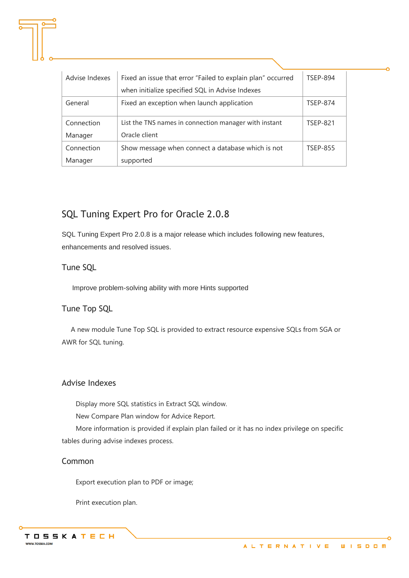| Advise Indexes | Fixed an issue that error "Failed to explain plan" occurred | <b>TSEP-894</b> |
|----------------|-------------------------------------------------------------|-----------------|
|                | when initialize specified SQL in Advise Indexes             |                 |
| General        | Fixed an exception when launch application                  | <b>TSEP-874</b> |
| Connection     | List the TNS names in connection manager with instant       | <b>TSEP-821</b> |
| Manager        | Oracle client                                               |                 |
| Connection     | Show message when connect a database which is not           | <b>TSEP-855</b> |
| Manager        | supported                                                   |                 |

# SQL Tuning Expert Pro for Oracle 2.0.8

SQL Tuning Expert Pro 2.0.8 is a major release which includes following new features, enhancements and resolved issues.

### Tune SQL

Improve problem-solving ability with more Hints supported

## Tune Top SQL

A new module Tune Top SQL is provided to extract resource expensive SQLs from SGA or AWR for SQL tuning.

### Advise Indexes

Display more SQL statistics in Extract SQL window.

New Compare Plan window for Advice Report.

More information is provided if explain plan failed or it has no index privilege on specific tables during advise indexes process.

### Common

Export execution plan to PDF or image;

Print execution plan.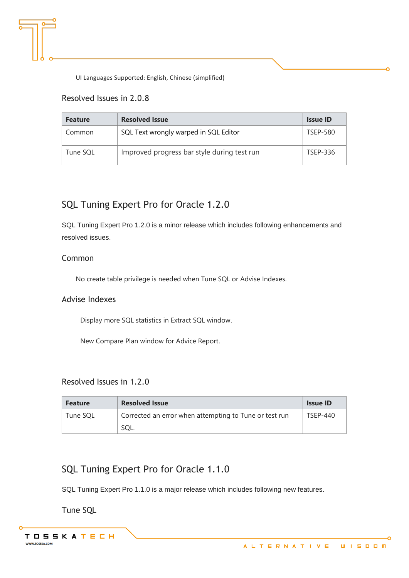

### Resolved Issues in 2.0.8

| <b>Feature</b> | <b>Resolved Issue</b>                       | <b>Issue ID</b> |
|----------------|---------------------------------------------|-----------------|
| Common         | SQL Text wrongly warped in SQL Editor       | <b>TSEP-580</b> |
| Tune SQL       | Improved progress bar style during test run | TSEP-336        |

# SQL Tuning Expert Pro for Oracle 1.2.0

SQL Tuning Expert Pro 1.2.0 is a minor release which includes following enhancements and resolved issues.

### Common

No create table privilege is needed when Tune SQL or Advise Indexes.

#### Advise Indexes

Display more SQL statistics in Extract SQL window.

New Compare Plan window for Advice Report.

### Resolved Issues in 1.2.0

| <b>Feature</b> | <b>Resolved Issue</b>                                  | <b>Issue ID</b> |
|----------------|--------------------------------------------------------|-----------------|
| Tune SOL       | Corrected an error when attempting to Tune or test run | TSFP-440        |
|                | SOL                                                    |                 |

# SQL Tuning Expert Pro for Oracle 1.1.0

SQL Tuning Expert Pro 1.1.0 is a major release which includes following new features.

Tune SQL

Ó